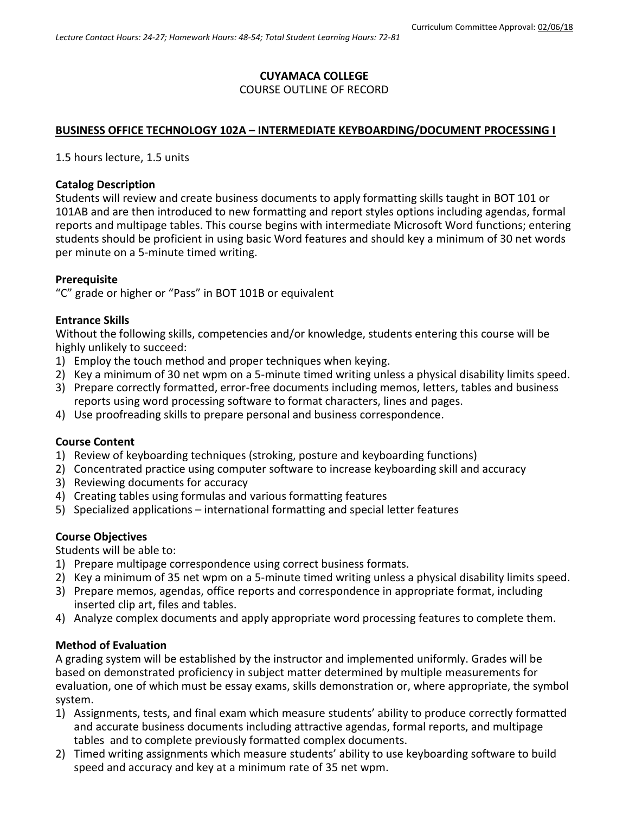# **CUYAMACA COLLEGE**

# COURSE OUTLINE OF RECORD

# **BUSINESS OFFICE TECHNOLOGY 102A – INTERMEDIATE KEYBOARDING/DOCUMENT PROCESSING I**

1.5 hours lecture, 1.5 units

## **Catalog Description**

Students will review and create business documents to apply formatting skills taught in BOT 101 or 101AB and are then introduced to new formatting and report styles options including agendas, formal reports and multipage tables. This course begins with intermediate Microsoft Word functions; entering students should be proficient in using basic Word features and should key a minimum of 30 net words per minute on a 5-minute timed writing.

# **Prerequisite**

"C" grade or higher or "Pass" in BOT 101B or equivalent

# **Entrance Skills**

Without the following skills, competencies and/or knowledge, students entering this course will be highly unlikely to succeed:

- 1) Employ the touch method and proper techniques when keying.
- 2) Key a minimum of 30 net wpm on a 5-minute timed writing unless a physical disability limits speed.
- 3) Prepare correctly formatted, error-free documents including memos, letters, tables and business reports using word processing software to format characters, lines and pages.
- 4) Use proofreading skills to prepare personal and business correspondence.

# **Course Content**

- 1) Review of keyboarding techniques (stroking, posture and keyboarding functions)
- 2) Concentrated practice using computer software to increase keyboarding skill and accuracy
- 3) Reviewing documents for accuracy
- 4) Creating tables using formulas and various formatting features
- 5) Specialized applications international formatting and special letter features

# **Course Objectives**

Students will be able to:

- 1) Prepare multipage correspondence using correct business formats.
- 2) Key a minimum of 35 net wpm on a 5-minute timed writing unless a physical disability limits speed.
- 3) Prepare memos, agendas, office reports and correspondence in appropriate format, including inserted clip art, files and tables.
- 4) Analyze complex documents and apply appropriate word processing features to complete them.

# **Method of Evaluation**

A grading system will be established by the instructor and implemented uniformly. Grades will be based on demonstrated proficiency in subject matter determined by multiple measurements for evaluation, one of which must be essay exams, skills demonstration or, where appropriate, the symbol system.

- 1) Assignments, tests, and final exam which measure students' ability to produce correctly formatted and accurate business documents including attractive agendas, formal reports, and multipage tables and to complete previously formatted complex documents.
- 2) Timed writing assignments which measure students' ability to use keyboarding software to build speed and accuracy and key at a minimum rate of 35 net wpm.